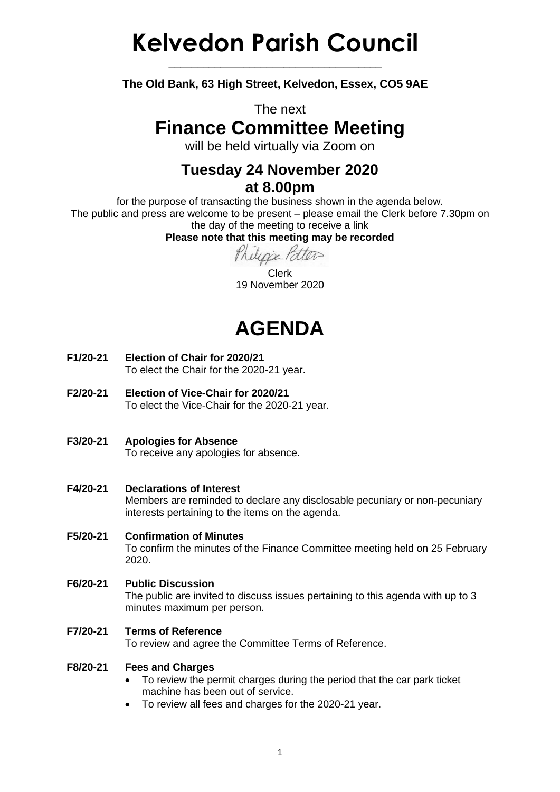# **Kelvedon Parish Council**

**The Old Bank, 63 High Street, Kelvedon, Essex, CO5 9AE**

**\_\_\_\_\_\_\_\_\_\_\_\_\_\_\_\_\_\_\_\_\_\_\_\_\_\_\_\_\_\_\_\_\_\_\_\_\_**

The next

### **Finance Committee Meeting**

will be held virtually via Zoom on

### **Tuesday 24 November 2020 at 8.00pm**

for the purpose of transacting the business shown in the agenda below. The public and press are welcome to be present – please email the Clerk before 7.30pm on the day of the meeting to receive a link

**Please note that this meeting may be recorded**

Clerk 19 November 2020

## **AGENDA**

- **F1/20-21 Election of Chair for 2020/21** To elect the Chair for the 2020-21 year.
- **F2/20-21 Election of Vice-Chair for 2020/21** To elect the Vice-Chair for the 2020-21 year.
- **F3/20-21 Apologies for Absence** To receive any apologies for absence.

#### **F4/20-21 Declarations of Interest** Members are reminded to declare any disclosable pecuniary or non-pecuniary interests pertaining to the items on the agenda.

#### **F5/20-21 Confirmation of Minutes** To confirm the minutes of the Finance Committee meeting held on 25 February 2020.

#### **F6/20-21 Public Discussion** The public are invited to discuss issues pertaining to this agenda with up to 3 minutes maximum per person.

**F7/20-21 Terms of Reference** To review and agree the Committee Terms of Reference.

#### **F8/20-21 Fees and Charges**

- To review the permit charges during the period that the car park ticket machine has been out of service.
- To review all fees and charges for the 2020-21 year.